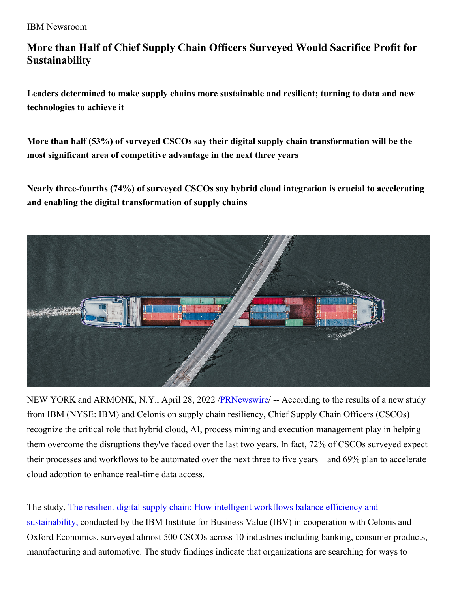IBM Newsroom

# **More than Half of Chief Supply Chain Officers Surveyed Would Sacrifice Profit for Sustainability**

**Leaders determined to make supply chains more sustainable and resilient; turning to data and new technologies to achieve it**

**More than half (53%) of surveyed CSCOs say their digital supply chain transformation will be the most significant area of competitive advantage in the next three years**

**Nearly three-fourths (74%) of surveyed CSCOs say hybrid cloud integration is crucial to accelerating and enabling the digital transformation of supply chains**



NEW YORK and ARMONK, N.Y., April 28, 2022 [/PRNewswire](http://www.prnewswire.com/)/ -- According to the results of a new study from IBM (NYSE: IBM) and Celonis on supply chain resiliency, Chief Supply Chain Officers (CSCOs) recognize the critical role that hybrid cloud, AI, process mining and execution management play in helping them overcome the disruptions they've faced over the last two years. In fact, 72% of CSCOs surveyed expect their processes and workflows to be automated over the next three to five years—and 69% plan to accelerate cloud adoption to enhance real-time data access.

The study, The resilient digital supply chain: How intelligent workflows balance efficiency and [sustainability,](https://c212.net/c/link/?t=0&l=en&o=3519692-1&h=3891137756&u=https%3A%2F%2Fwww.ibm.com%2Fthought-leadership%2Finstitute-business-value%2Freport%2Fdigital-supply-chain&a=The+resilient+digital+supply+chain%3A+How+intelligent+workflows+balance+efficiency+and+sustainability%2C) conducted by the IBM Institute for Business Value (IBV) in cooperation with Celonis and Oxford Economics, surveyed almost 500 CSCOs across 10 industries including banking, consumer products, manufacturing and automotive. The study findings indicate that organizations are searching for ways to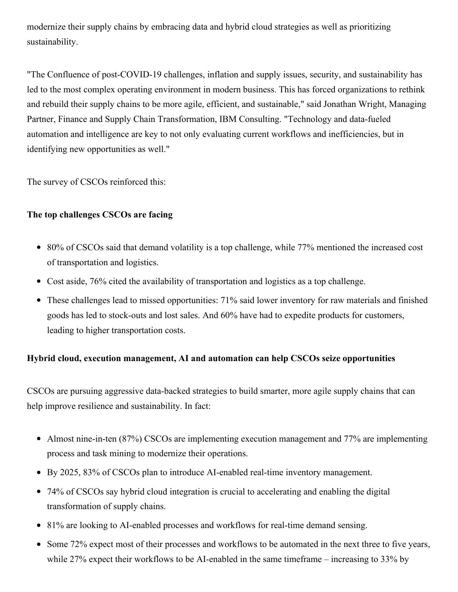modernize their supply chains by embracing data and hybrid cloud strategies as well as prioritizing sustainability.

"The Confluence of post-COVID-19 challenges, inflation and supply issues, security, and sustainability has led to the most complex operating environment in modern business. This has forced organizations to rethink and rebuild their supply chains to be more agile, efficient, and sustainable," said Jonathan Wright, Managing Partner, Finance and Supply Chain Transformation, IBM Consulting. "Technology and data-fueled automation and intelligence are key to not only evaluating current workflows and inefficiencies, but in identifying new opportunities as well."

The survey of CSCOs reinforced this:

# **The top challenges CSCOs are facing**

- 80% of CSCOs said that demand volatility is a top challenge, while 77% mentioned the increased cost of transportation and logistics.
- Cost aside, 76% cited the availability of transportation and logistics as a top challenge.
- These challenges lead to missed opportunities: 71% said lower inventory for raw materials and finished goods has led to stock-outs and lost sales. And 60% have had to expedite products for customers, leading to higher transportation costs.

# **Hybrid cloud, execution management, AI and automation can help CSCOs seize opportunities**

CSCOs are pursuing aggressive data-backed strategies to build smarter, more agile supply chains that can help improve resilience and sustainability. In fact:

- Almost nine-in-ten (87%) CSCOs are implementing execution management and 77% are implementing process and task mining to modernize their operations.
- By 2025, 83% of CSCOs plan to introduce AI-enabled real-time inventory management.
- 74% of CSCOs say hybrid cloud integration is crucial to accelerating and enabling the digital transformation of supply chains.
- 81% are looking to AI-enabled processes and workflows for real-time demand sensing.
- Some 72% expect most of their processes and workflows to be automated in the next three to five years, while 27% expect their workflows to be AI-enabled in the same timeframe – increasing to 33% by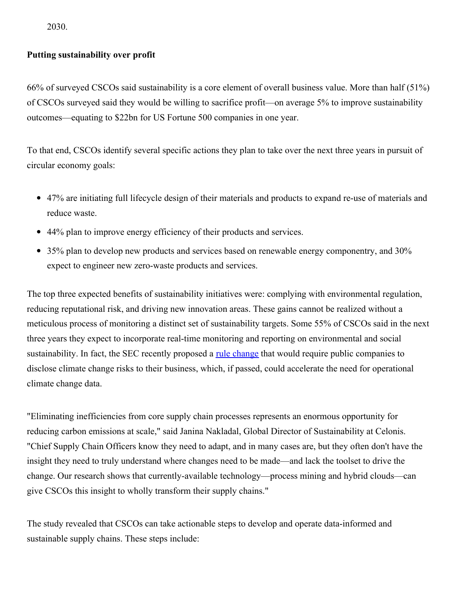2030.

## **Putting sustainability over profit**

66% of surveyed CSCOs said sustainability is a core element of overall business value. More than half (51%) of CSCOs surveyed said they would be willing to sacrifice profit—on average 5% to improve sustainability outcomes—equating to \$22bn for US Fortune 500 companies in one year.

To that end, CSCOs identify several specific actions they plan to take over the next three years in pursuit of circular economy goals:

- 47% are initiating full lifecycle design of their materials and products to expand re-use of materials and reduce waste.
- 44% plan to improve energy efficiency of their products and services.
- 35% plan to develop new products and services based on renewable energy componentry, and 30% expect to engineer new zero-waste products and services.

The top three expected benefits of sustainability initiatives were: complying with environmental regulation, reducing reputational risk, and driving new innovation areas. These gains cannot be realized without a meticulous process of monitoring a distinct set of sustainability targets. Some 55% of CSCOs said in the next three years they expect to incorporate real-time monitoring and reporting on environmental and social sustainability. In fact, the SEC recently proposed a <u>rule [change](https://c212.net/c/link/?t=0&l=en&o=3519692-1&h=2928442671&u=https%3A%2F%2Fwww.sec.gov%2Fnews%2Fpress-release%2F2022-46&a=rule+change)</u> that would require public companies to disclose climate change risks to their business, which, if passed, could accelerate the need for operational climate change data.

"Eliminating inefficiencies from core supply chain processes represents an enormous opportunity for reducing carbon emissions at scale," said Janina Nakladal, Global Director of Sustainability at Celonis. "Chief Supply Chain Officers know they need to adapt, and in many cases are, but they often don't have the insight they need to truly understand where changes need to be made—and lack the toolset to drive the change. Our research shows that currently-available technology—process mining and hybrid clouds—can give CSCOs this insight to wholly transform their supply chains."

The study revealed that CSCOs can take actionable steps to develop and operate data-informed and sustainable supply chains. These steps include: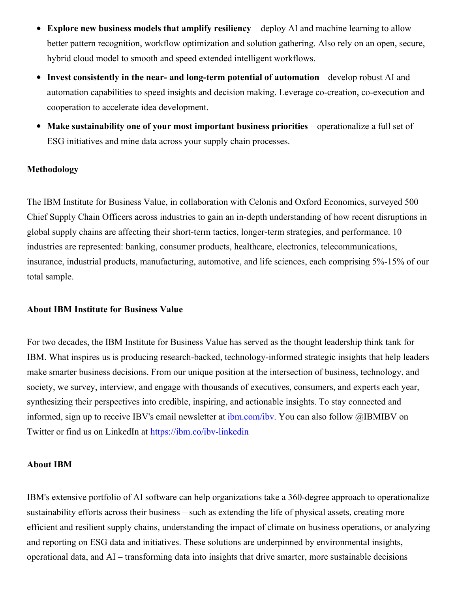- $\bullet$ **Explore new business models that amplify resiliency** – deploy AI and machine learning to allow better pattern recognition, workflow optimization and solution gathering. Also rely on an open, secure, hybrid cloud model to smooth and speed extended intelligent workflows.
- **Invest consistently in the near- and long-term potential of automation** develop robust AI and automation capabilities to speed insights and decision making. Leverage co-creation, co-execution and cooperation to accelerate idea development.
- **Make sustainability one of your most important business priorities** operationalize a full set of ESG initiatives and mine data across your supply chain processes.

### **Methodology**

The IBM Institute for Business Value, in collaboration with Celonis and Oxford Economics, surveyed 500 Chief Supply Chain Officers across industries to gain an in-depth understanding of how recent disruptions in global supply chains are affecting their short-term tactics, longer-term strategies, and performance. 10 industries are represented: banking, consumer products, healthcare, electronics, telecommunications, insurance, industrial products, manufacturing, automotive, and life sciences, each comprising 5%-15% of our total sample.

#### **About IBM Institute for Business Value**

For two decades, the IBM Institute for Business Value has served as the thought leadership think tank for IBM. What inspires us is producing research-backed, technology-informed strategic insights that help leaders make smarter business decisions. From our unique position at the intersection of business, technology, and society, we survey, interview, and engage with thousands of executives, consumers, and experts each year, synthesizing their perspectives into credible, inspiring, and actionable insights. To stay connected and informed, sign up to receive IBV's email newsletter at [ibm.com/ibv](https://c212.net/c/link/?t=0&l=en&o=3519692-1&h=3832965417&u=https%3A%2F%2Fc212.net%2Fc%2Flink%2F%3Ft%3D0%26l%3Den%26o%3D3503854-1%26h%3D2353364620%26u%3Dhttp%253A%252F%252Fibm.com%252Fibv%26a%3Dibm.com%252Fibv&a=ibm.com%2Fibv). You can also follow @IBMIBV on Twitter or find us on LinkedIn at [https://ibm.co/ibv-linkedin](https://c212.net/c/link/?t=0&l=en&o=3519692-1&h=2072427573&u=https%3A%2F%2Fc212.net%2Fc%2Flink%2F%3Ft%3D0%26l%3Den%26o%3D3503854-1%26h%3D1613937855%26u%3Dhttps%253A%252F%252Fibm.co%252Fibv-linkedin%26a%3Dhttps%253A%252F%252Fibm.co%252Fibv-linkedin&a=https%3A%2F%2Fibm.co%2Fibv-linkedin)

#### **About IBM**

IBM's extensive portfolio of AI software can help organizations take a 360-degree approach to operationalize sustainability efforts across their business – such as extending the life of physical assets, creating more efficient and resilient supply chains, understanding the impact of climate on business operations, or analyzing and reporting on ESG data and initiatives. These solutions are underpinned by environmental insights, operational data, and AI – transforming data into insights that drive smarter, more sustainable decisions